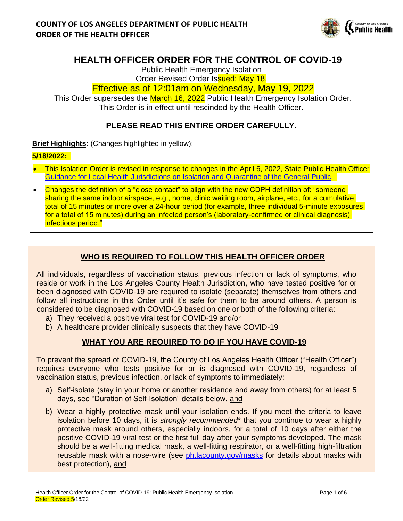

# **HEALTH OFFICER ORDER FOR THE CONTROL OF COVID-19**

Public Health Emergency Isolation

#### Order Revised Order Issued: May 18, Effective as of 12:01am on Wednesday, May 19, 2022

This Order supersedes the March 16, 2022 Public Health Emergency Isolation Order. This Order is in effect until rescinded by the Health Officer.

## **PLEASE READ THIS ENTIRE ORDER CAREFULLY.**

**Brief Highlights: (Changes highlighted in yellow):** 

### **5/18/2022:**

- This Isolation Order is revised in response to changes in the April 6, 2022, State Public Health Officer [Guidance for Local Health Jurisdictions on Isolation and Quarantine of the General Public.](https://www.cdph.ca.gov/Programs/CID/DCDC/Pages/COVID-19/Guidance-on-Isolation-and-Quarantine-for-COVID-19-Contact-Tracing.aspx)
- Changes the definition of a "close contact" to align with the new CDPH definition of: "someone sharing the same indoor airspace, e.g., home, clinic waiting room, airplane, etc., for a cumulative total of 15 minutes or more over a 24-hour period (for example, three individual 5-minute exposures for a total of 15 minutes) during an infected person's (laboratory-confirmed or clinical diagnosis) infectious period."

## **WHO IS REQUIRED TO FOLLOW THIS HEALTH OFFICER ORDER**

All individuals, regardless of vaccination status, previous infection or lack of symptoms, who reside or work in the Los Angeles County Health Jurisdiction, who have tested positive for or been diagnosed with COVID-19 are required to isolate (separate) themselves from others and follow all instructions in this Order until it's safe for them to be around others. A person is considered to be diagnosed with COVID-19 based on one or both of the following criteria:

- a) They received a positive viral test for COVID-19 and/or
- b) A healthcare provider clinically suspects that they have COVID-19

## **WHAT YOU ARE REQUIRED TO DO IF YOU HAVE COVID-19**

To prevent the spread of COVID-19, the County of Los Angeles Health Officer ("Health Officer") requires everyone who tests positive for or is diagnosed with COVID-19, regardless of vaccination status, previous infection, or lack of symptoms to immediately:

- a) Self-isolate (stay in your home or another residence and away from others) for at least 5 days, see "Duration of Self-Isolation" details below, and
- b) Wear a highly protective mask until your isolation ends. If you meet the criteria to leave isolation before 10 days, it is *strongly recommended*\* that you continue to wear a highly protective mask around others, especially indoors, for a total of 10 days after either the positive COVID-19 viral test or the first full day after your symptoms developed. The mask should be a well-fitting medical mask, a well-fitting respirator, or a well-fitting high-filtration reusable mask with a nose-wire (see [ph.lacounty.gov/masks](http://publichealth.lacounty.gov/acd/ncorona2019/masks) for details about masks with best protection), and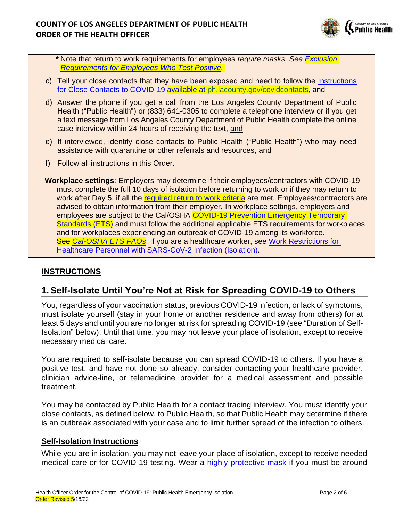

*\** Note that return to work requirements for employees *require masks. See [Exclusion](https://www.dir.ca.gov/dosh/coronavirus/COVID19FAQs.html#iso) [Requirements for Employees Who Test Positive.](https://www.dir.ca.gov/dosh/coronavirus/COVID19FAQs.html#iso)*

- c) Tell your close contacts that they have been exposed and need to follow the [Instructions](http://publichealth.lacounty.gov/acd/ncorona2019/covidquarantine/) [for Close Contacts to COVID-19](http://publichealth.lacounty.gov/acd/ncorona2019/covidquarantine/) available at [ph.lacounty.gov/covidcontacts,](http://ph.lacounty.gov/covidquarantine/) and
- d) Answer the phone if you get a call from the Los Angeles County Department of Public Health ("Public Health") or (833) 641-0305 to complete a telephone interview or if you get a text message from Los Angeles County Department of Public Health complete the online case interview within 24 hours of receiving the text, and
- e) If interviewed, identify close contacts to Public Health ("Public Health") who may need assistance with quarantine or other referrals and resources, and
- f) Follow all instructions in this Order.
- **Workplace settings**: Employers may determine if their employees/contractors with COVID-19 must complete the full 10 days of isolation before returning to work or if they may return to work after Day 5, if all the [required return to work criteria](https://www.dir.ca.gov/dosh/coronavirus/COVID19FAQs.html#iso) are met. Employees/contractors are advised to obtain information from their employer. In workplace settings, employers and employees are subject to the Cal/OSHA [COVID-19 Prevention Emergency Temporary](https://www.dir.ca.gov/dosh/coronavirus/ETS.html)  [Standards \(ETS\)](https://www.dir.ca.gov/dosh/coronavirus/ETS.html) and must follow the additional applicable ETS requirements for workplaces and for workplaces experiencing an outbreak of COVID-19 among its workforce. See *[Cal-OSHA ETS FAQs](https://www.dir.ca.gov/dosh/coronavirus/COVID19FAQs.html)*. If you are a healthcare worker, see [Work Restrictions for](http://publichealth.lacounty.gov/acd/ncorona2019/healthfacilities/HCPMonitoring/#table3)  [Healthcare Personnel with SARS-CoV-2 Infection \(Isolation\).](http://publichealth.lacounty.gov/acd/ncorona2019/healthfacilities/HCPMonitoring/#table3)

## **INSTRUCTIONS**

# **1.Self-Isolate Until You're Not at Risk for Spreading COVID-19 to Others**

You, regardless of your vaccination status, previous COVID-19 infection, or lack of symptoms, must isolate yourself (stay in your home or another residence and away from others) for at least 5 days and until you are no longer at risk for spreading COVID-19 (see "Duration of Self-Isolation" below). Until that time, you may not leave your place of isolation, except to receive necessary medical care.

You are required to self-isolate because you can spread COVID-19 to others. If you have a positive test, and have not done so already, consider contacting your healthcare provider, clinician advice-line, or telemedicine provider for a medical assessment and possible treatment.

You may be contacted by Public Health for a contact tracing interview. You must identify your close contacts, as defined below, to Public Health, so that Public Health may determine if there is an outbreak associated with your case and to limit further spread of the infection to others.

### **Self-Isolation Instructions**

While you are in isolation, you may not leave your place of isolation, except to receive needed medical care or for COVID-19 testing. Wear a [highly protective mask](http://publichealth.lacounty.gov/acd/ncorona2019/masks/#kindofmask) if you must be around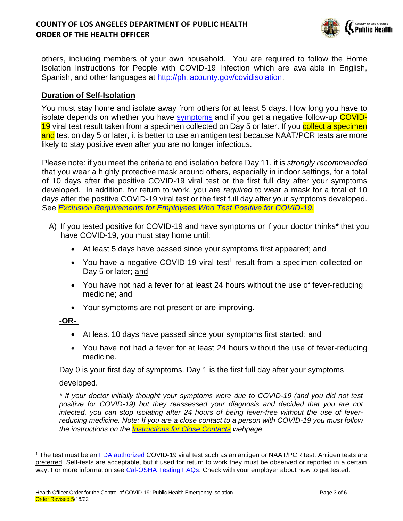

others, including members of your own household. You are required to follow the Home Isolation Instructions for People with COVID-19 Infection which are available in English, Spanish, and other languages at [http://ph.lacounty.gov/covidisolation.](http://ph.lacounty.gov/covidisolation)

### **Duration of Self-Isolation**

You must stay home and isolate away from others for at least 5 days. How long you have to isolate depends on whether you have [symptoms](http://publichealth.lacounty.gov/acd/ncorona2019/covidcare/) and if you get a negative follow-up COVID-19 viral test result taken from a specimen collected on Day 5 or later. If you collect a specimen and test on day 5 or later, it is better to use an antigen test because NAAT/PCR tests are more likely to stay positive even after you are no longer infectious.

Please note: if you meet the criteria to end isolation before Day 11, it is *strongly recommended* that you wear a highly protective mask around others, especially in indoor settings, for a total of 10 days after the positive COVID-19 viral test or the first full day after your symptoms developed. In addition, for return to work, you are *required* to wear a mask for a total of 10 days after the positive COVID-19 viral test or the first full day after your symptoms developed. See *[Exclusion Requirements for Employees Who Test Positive for COVID-19.](http://publichttps/www.dir.ca.gov/dosh/coronavirus/COVID19FAQs.html#iso)*

- A) If you tested positive for COVID-19 and have symptoms or if your doctor thinks**\*** that you have COVID-19, you must stay home until:
	- At least 5 days have passed since your symptoms first appeared; and
	- You have a negative COVID-19 viral test<sup>1</sup> result from a specimen collected on Day 5 or later; and
	- You have not had a fever for at least 24 hours without the use of fever-reducing medicine; and
	- Your symptoms are not present or are improving.

### **-OR-**

- At least 10 days have passed since your symptoms first started; and
- You have not had a fever for at least 24 hours without the use of fever-reducing medicine.

Day 0 is your first day of symptoms. Day 1 is the first full day after your symptoms

#### developed.

*\* If your doctor initially thought your symptoms were due to COVID-19 (and you did not test positive for COVID-19) but they reassessed your diagnosis and decided that you are not infected, you can stop isolating after 24 hours of being fever-free without the use of feverreducing medicine. Note: If you are a close contact to a person with COVID-19 you must follow the instructions on the [Instructions for Close Contacts](http://publichealth.lacounty.gov/acd/ncorona2019/covidquarantine/) webpage*.

<sup>1</sup> The test must be an [FDA authorized](https://www.fda.gov/medical-devices/coronavirus-disease-2019-covid-19-emergency-use-authorizations-medical-devices/in-vitro-diagnostics-euas) COVID-19 viral test such as an antigen or NAAT/PCR test. Antigen tests are preferred. Self-tests are acceptable, but if used for return to work they must be observed or reported in a certain way. For more information see [Cal-OSHA Testing FAQs.](https://www.dir.ca.gov/dosh/coronavirus/covid19faqs.html#testing) Check with your employer about how to get tested.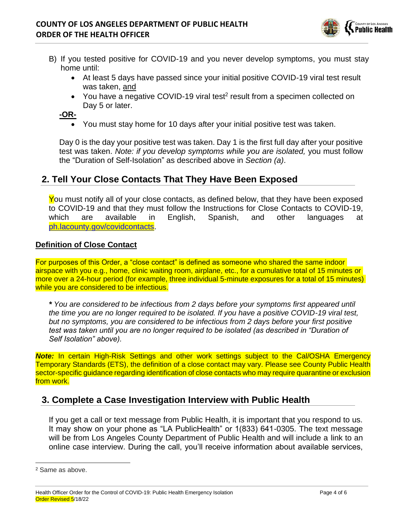

- B) If you tested positive for COVID-19 and you never develop symptoms, you must stay home until:
	- At least 5 days have passed since your initial positive COVID-19 viral test result was taken, and
	- You have a negative COVID-19 viral test<sup>2</sup> result from a specimen collected on Day 5 or later.

**-OR-**

• You must stay home for 10 days after your initial positive test was taken.

Day 0 is the day your positive test was taken. Day 1 is the first full day after your positive test was taken. *Note: if you develop symptoms while you are isolated,* you must follow the "Duration of Self-Isolation" as described above in *Section (a)*.

# **2. Tell Your Close Contacts That They Have Been Exposed**

You must notify all of your close contacts, as defined below, that they have been exposed to COVID-19 and that they must follow the Instructions for Close Contacts to COVID-19, which are available in English, Spanish, and other languages at [ph.lacounty.gov/covidcontacts.](http://publichealth.lacounty.gov/acd/ncorona2019/covidquarantine/)

#### **Definition of Close Contact**

For purposes of this Order, a "close contact" is defined as someone who shared the same indoor airspace with you e.g., home, clinic waiting room, airplane, etc., for a cumulative total of 15 minutes or more over a 24-hour period (for example, three individual 5-minute exposures for a total of 15 minutes) while you are considered to be infectious.

*\* You are considered to be infectious from 2 days before your symptoms first appeared until the time you are no longer required to be isolated. If you have a positive COVID-19 viral test, but no symptoms, you are considered to be infectious from 2 days before your first positive test was taken until you are no longer required to be isolated (as described in "Duration of Self Isolation" above).*

*Note:* In certain High-Risk Settings and other work settings subject to the Cal/OSHA Emergency Temporary Standards (ETS), the definition of a close contact may vary. Please see County Public Health sector-specific guidance regarding identification of close contacts who may require quarantine or exclusion from work.

## **3. Complete a Case Investigation Interview with Public Health**

If you get a call or text message from Public Health, it is important that you respond to us. It may show on your phone as "LA PublicHealth" or 1(833) 641-0305. The text message will be from Los Angeles County Department of Public Health and will include a link to an online case interview. During the call, you'll receive information about available services,

<sup>2</sup> Same as above.

Health Officer Order for the Control of COVID-19: Public Health Emergency Isolation Page 4 of 6 Order Revised 5/18/22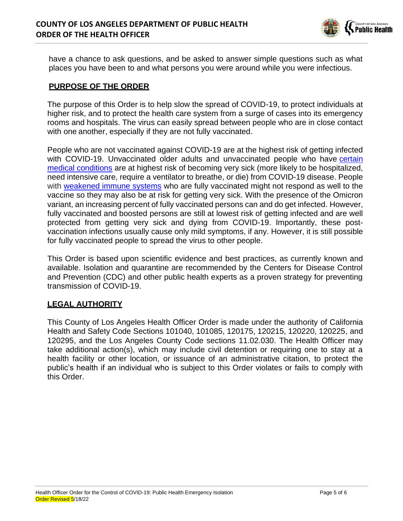

have a chance to ask questions, and be asked to answer simple questions such as what places you have been to and what persons you were around while you were infectious.

### **PURPOSE OF THE ORDER**

The purpose of this Order is to help slow the spread of COVID-19, to protect individuals at higher risk, and to protect the health care system from a surge of cases into its emergency rooms and hospitals. The virus can easily spread between people who are in close contact with one another, especially if they are not fully vaccinated.

People who are not vaccinated against COVID-19 are at the highest risk of getting infected with COVID-19. Unvaccinated older adults and unvaccinated people who have [certain](https://www.cdc.gov/coronavirus/2019-ncov/need-extra-precautions/people-with-medical-conditions.html) [medical conditions](https://www.cdc.gov/coronavirus/2019-ncov/need-extra-precautions/people-with-medical-conditions.html) are at highest risk of becoming very sick (more likely to be hospitalized, need intensive care, require a ventilator to breathe, or die) from COVID-19 disease. People with [weakened immune systems](https://www.cdc.gov/coronavirus/2019-ncov/vaccines/recommendations/immuno.html) who are fully vaccinated might not respond as well to the vaccine so they may also be at risk for getting very sick. With the presence of the Omicron variant, an increasing percent of fully vaccinated persons can and do get infected. However, fully vaccinated and boosted persons are still at lowest risk of getting infected and are well protected from getting very sick and dying from COVID-19. Importantly, these postvaccination infections usually cause only mild symptoms, if any. However, it is still possible for fully vaccinated people to spread the virus to other people.

This Order is based upon scientific evidence and best practices, as currently known and available. Isolation and quarantine are recommended by the Centers for Disease Control and Prevention (CDC) and other public health experts as a proven strategy for preventing transmission of COVID-19.

## **LEGAL AUTHORITY**

This County of Los Angeles Health Officer Order is made under the authority of California Health and Safety Code Sections 101040, 101085, 120175, 120215, 120220, 120225, and 120295, and the Los Angeles County Code sections 11.02.030. The Health Officer may take additional action(s), which may include civil detention or requiring one to stay at a health facility or other location, or issuance of an administrative citation, to protect the public's health if an individual who is subject to this Order violates or fails to comply with this Order.